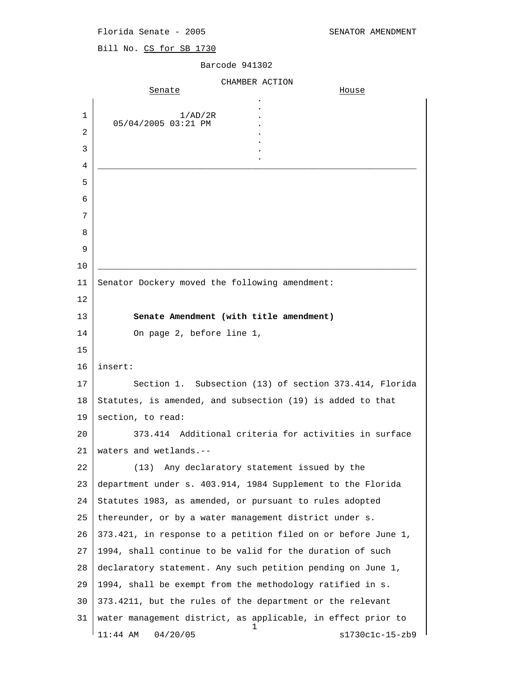Bill No. CS for SB 1730

|        | CHAMBER ACTION                                                    |
|--------|-------------------------------------------------------------------|
|        | Senate<br>House                                                   |
| 1      | 1/AD/2R                                                           |
| 2      | 05/04/2005 03:21 PM                                               |
| 3      |                                                                   |
|        |                                                                   |
| 4      |                                                                   |
| 5<br>6 |                                                                   |
| 7      |                                                                   |
| 8      |                                                                   |
| 9      |                                                                   |
| 10     |                                                                   |
| 11     | Senator Dockery moved the following amendment:                    |
| 12     |                                                                   |
| 13     | Senate Amendment (with title amendment)                           |
| 14     | On page 2, before line 1,                                         |
| 15     |                                                                   |
| 16     | insert:                                                           |
| 17     | Section 1. Subsection (13) of section 373.414, Florida            |
| 18     | Statutes, is amended, and subsection (19) is added to that        |
| 19     | section, to read:                                                 |
| 20     | Additional criteria for activities in surface<br>373.414          |
| 21     | waters and wetlands.--                                            |
| 22     | Any declaratory statement issued by the<br>(13)                   |
| 23     | department under s. 403.914, 1984 Supplement to the Florida       |
| 24     | Statutes 1983, as amended, or pursuant to rules adopted           |
| 25     | thereunder, or by a water management district under s.            |
| 26     | 373.421, in response to a petition filed on or before June 1,     |
| 27     | 1994, shall continue to be valid for the duration of such         |
| 28     | declaratory statement. Any such petition pending on June 1,       |
| 29     | 1994, shall be exempt from the methodology ratified in s.         |
| 30     | 373.4211, but the rules of the department or the relevant         |
| 31     | water management district, as applicable, in effect prior to<br>T |
|        | $11:44$ AM<br>04/20/05<br>s1730c1c-15-zb9                         |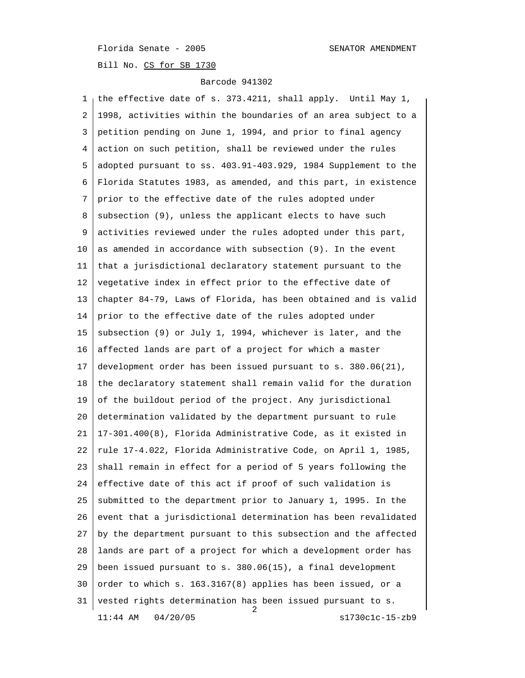Bill No. CS for SB 1730

#### Barcode 941302

 1 the effective date of s. 373.4211, shall apply. Until May 1, 2 1998, activities within the boundaries of an area subject to a 3 petition pending on June 1, 1994, and prior to final agency 4 action on such petition, shall be reviewed under the rules 5 adopted pursuant to ss. 403.91-403.929, 1984 Supplement to the 6 Florida Statutes 1983, as amended, and this part, in existence 7 prior to the effective date of the rules adopted under 8 subsection (9), unless the applicant elects to have such 9 activities reviewed under the rules adopted under this part,  $10$  as amended in accordance with subsection (9). In the event 11 that a jurisdictional declaratory statement pursuant to the 12 vegetative index in effect prior to the effective date of 13 chapter 84-79, Laws of Florida, has been obtained and is valid 14 prior to the effective date of the rules adopted under 15 subsection (9) or July 1, 1994, whichever is later, and the 16 affected lands are part of a project for which a master 17 development order has been issued pursuant to s. 380.06(21), 18 the declaratory statement shall remain valid for the duration 19 of the buildout period of the project. Any jurisdictional 20 determination validated by the department pursuant to rule 21 17-301.400(8), Florida Administrative Code, as it existed in 22 rule 17-4.022, Florida Administrative Code, on April 1, 1985, 23 shall remain in effect for a period of 5 years following the 24 effective date of this act if proof of such validation is 25 submitted to the department prior to January 1, 1995. In the 26 event that a jurisdictional determination has been revalidated 27 by the department pursuant to this subsection and the affected 28 lands are part of a project for which a development order has 29 been issued pursuant to s. 380.06(15), a final development 30 order to which s.  $163.3167(8)$  applies has been issued, or a 31 vested rights determination has been issued pursuant to s.  $\frac{1}{2}$ 11:44 AM 04/20/05 s1730c1c-15-zb9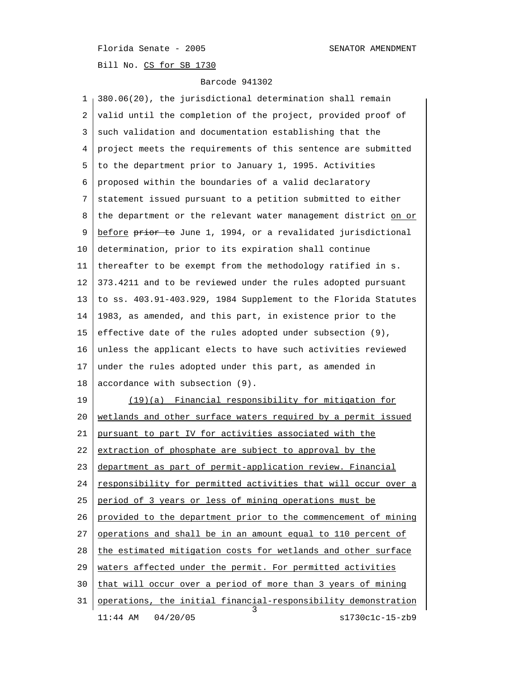Bill No. CS for SB 1730

| 1  | 380.06(20), the jurisdictional determination shall remain      |  |  |  |  |  |  |
|----|----------------------------------------------------------------|--|--|--|--|--|--|
| 2  | valid until the completion of the project, provided proof of   |  |  |  |  |  |  |
| 3  | such validation and documentation establishing that the        |  |  |  |  |  |  |
| 4  | project meets the requirements of this sentence are submitted  |  |  |  |  |  |  |
| 5  | to the department prior to January 1, 1995. Activities         |  |  |  |  |  |  |
| 6  | proposed within the boundaries of a valid declaratory          |  |  |  |  |  |  |
| 7  | statement issued pursuant to a petition submitted to either    |  |  |  |  |  |  |
| 8  | the department or the relevant water management district on or |  |  |  |  |  |  |
| 9  | before prior to June 1, 1994, or a revalidated jurisdictional  |  |  |  |  |  |  |
| 10 | determination, prior to its expiration shall continue          |  |  |  |  |  |  |
| 11 | thereafter to be exempt from the methodology ratified in s.    |  |  |  |  |  |  |
| 12 | 373.4211 and to be reviewed under the rules adopted pursuant   |  |  |  |  |  |  |
| 13 | to ss. 403.91-403.929, 1984 Supplement to the Florida Statutes |  |  |  |  |  |  |
| 14 | 1983, as amended, and this part, in existence prior to the     |  |  |  |  |  |  |
| 15 | effective date of the rules adopted under subsection (9),      |  |  |  |  |  |  |
| 16 | unless the applicant elects to have such activities reviewed   |  |  |  |  |  |  |
| 17 | under the rules adopted under this part, as amended in         |  |  |  |  |  |  |
| 18 | accordance with subsection (9).                                |  |  |  |  |  |  |
| 19 | (19)(a) Financial responsibility for mitigation for            |  |  |  |  |  |  |
| 20 | wetlands and other surface waters required by a permit issued  |  |  |  |  |  |  |
| 21 | <u>pursuant to part IV for activities associated with the</u>  |  |  |  |  |  |  |
| 22 | extraction of phosphate are subject to approval by the         |  |  |  |  |  |  |
| 23 | department as part of permit-application review. Financial     |  |  |  |  |  |  |
| 24 | responsibility for permitted activities that will occur over a |  |  |  |  |  |  |
| 25 | period of 3 years or less of mining operations must be         |  |  |  |  |  |  |
| 26 | provided to the department prior to the commencement of mining |  |  |  |  |  |  |
| 27 | operations and shall be in an amount equal to 110 percent of   |  |  |  |  |  |  |
| 28 | the estimated mitigation costs for wetlands and other surface  |  |  |  |  |  |  |
| 29 | waters affected under the permit. For permitted activities     |  |  |  |  |  |  |
| 30 | that will occur over a period of more than 3 years of mining   |  |  |  |  |  |  |
| 31 | operations, the initial financial-responsibility demonstration |  |  |  |  |  |  |
|    | $11:44$ AM<br>04/20/05<br>s1730c1c-15-zb9                      |  |  |  |  |  |  |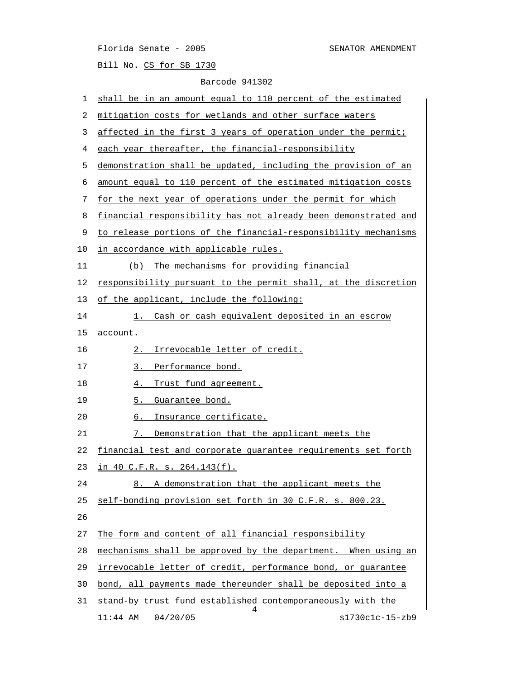Bill No. CS for SB 1730

| 1  | shall be in an amount equal to 110 percent of the estimated     |  |  |  |  |  |  |
|----|-----------------------------------------------------------------|--|--|--|--|--|--|
| 2  | mitigation costs for wetlands and other surface waters          |  |  |  |  |  |  |
| 3  | affected in the first 3 years of operation under the permit;    |  |  |  |  |  |  |
| 4  | each year thereafter, the financial-responsibility              |  |  |  |  |  |  |
| 5  | demonstration shall be updated, including the provision of an   |  |  |  |  |  |  |
| 6  | amount equal to 110 percent of the estimated mitigation costs   |  |  |  |  |  |  |
| 7  | for the next year of operations under the permit for which      |  |  |  |  |  |  |
| 8  | financial responsibility has not already been demonstrated and  |  |  |  |  |  |  |
| 9  | to release portions of the financial-responsibility mechanisms  |  |  |  |  |  |  |
| 10 | in accordance with applicable rules.                            |  |  |  |  |  |  |
| 11 | The mechanisms for providing financial<br>(b)                   |  |  |  |  |  |  |
| 12 | responsibility pursuant to the permit shall, at the discretion  |  |  |  |  |  |  |
| 13 | of the applicant, include the following:                        |  |  |  |  |  |  |
| 14 | Cash or cash equivalent deposited in an escrow<br>1. .          |  |  |  |  |  |  |
| 15 | account.                                                        |  |  |  |  |  |  |
| 16 | Irrevocable letter of credit.<br>2.                             |  |  |  |  |  |  |
| 17 | 3. Performance bond.                                            |  |  |  |  |  |  |
| 18 | Trust fund agreement.<br>4.                                     |  |  |  |  |  |  |
| 19 | 5.<br>Guarantee bond.                                           |  |  |  |  |  |  |
| 20 | Insurance certificate.<br>6.                                    |  |  |  |  |  |  |
| 21 | Demonstration that the applicant meets the<br>7.                |  |  |  |  |  |  |
| 22 | financial test and corporate guarantee requirements set forth   |  |  |  |  |  |  |
| 23 | <u>in 40 C.F.R. s. 264.143(f).</u>                              |  |  |  |  |  |  |
| 24 | 8. A demonstration that the applicant meets the                 |  |  |  |  |  |  |
| 25 | self-bonding provision set forth in 30 C.F.R. s. 800.23.        |  |  |  |  |  |  |
| 26 |                                                                 |  |  |  |  |  |  |
| 27 | The form and content of all financial responsibility            |  |  |  |  |  |  |
| 28 | mechanisms shall be approved by the department. When using an   |  |  |  |  |  |  |
| 29 | irrevocable letter of credit, performance bond, or guarantee    |  |  |  |  |  |  |
| 30 | bond, all payments made thereunder shall be deposited into a    |  |  |  |  |  |  |
| 31 |                                                                 |  |  |  |  |  |  |
|    | stand-by trust fund established contemporaneously with the<br>4 |  |  |  |  |  |  |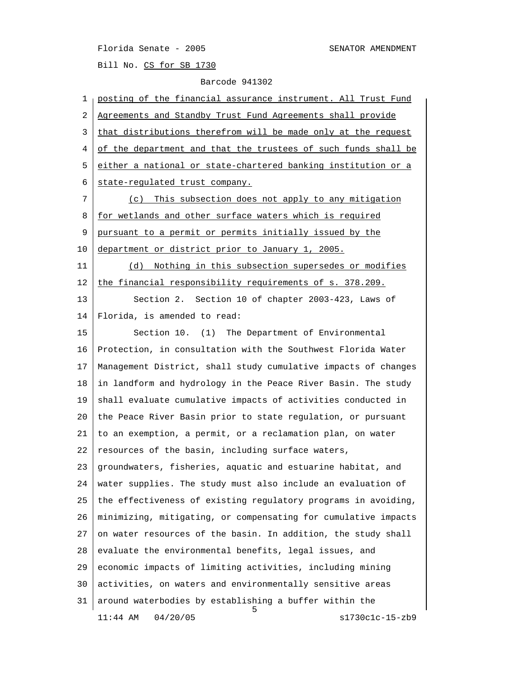Bill No. CS for SB 1730

| $\mathbf{1}$ | posting of the financial assurance instrument. All Trust Fund  |  |  |  |  |  |
|--------------|----------------------------------------------------------------|--|--|--|--|--|
| 2            | Agreements and Standby Trust Fund Agreements shall provide     |  |  |  |  |  |
| 3            | that distributions therefrom will be made only at the request  |  |  |  |  |  |
| 4            | of the department and that the trustees of such funds shall be |  |  |  |  |  |
| 5            | either a national or state-chartered banking institution or a  |  |  |  |  |  |
| 6            | state-regulated trust company.                                 |  |  |  |  |  |
| 7            | (c) This subsection does not apply to any mitigation           |  |  |  |  |  |
| 8            | for wetlands and other surface waters which is required        |  |  |  |  |  |
| 9            | pursuant to a permit or permits initially issued by the        |  |  |  |  |  |
| 10           | department or district prior to January 1, 2005.               |  |  |  |  |  |
| 11           | (d) Nothing in this subsection supersedes or modifies          |  |  |  |  |  |
| 12           | the financial responsibility requirements of s. 378.209.       |  |  |  |  |  |
| 13           | Section 2. Section 10 of chapter 2003-423, Laws of             |  |  |  |  |  |
| 14           | Florida, is amended to read:                                   |  |  |  |  |  |
| 15           | Section 10. (1) The Department of Environmental                |  |  |  |  |  |
| 16           | Protection, in consultation with the Southwest Florida Water   |  |  |  |  |  |
| 17           | Management District, shall study cumulative impacts of changes |  |  |  |  |  |
| 18           | in landform and hydrology in the Peace River Basin. The study  |  |  |  |  |  |
| 19           | shall evaluate cumulative impacts of activities conducted in   |  |  |  |  |  |
| 20           | the Peace River Basin prior to state regulation, or pursuant   |  |  |  |  |  |
| 21           | to an exemption, a permit, or a reclamation plan, on water     |  |  |  |  |  |
| 22           | resources of the basin, including surface waters,              |  |  |  |  |  |
| 23           | groundwaters, fisheries, aquatic and estuarine habitat, and    |  |  |  |  |  |
| 24           | water supplies. The study must also include an evaluation of   |  |  |  |  |  |
| 25           | the effectiveness of existing regulatory programs in avoiding, |  |  |  |  |  |
| 26           | minimizing, mitigating, or compensating for cumulative impacts |  |  |  |  |  |
| 27           | on water resources of the basin. In addition, the study shall  |  |  |  |  |  |
| 28           | evaluate the environmental benefits, legal issues, and         |  |  |  |  |  |
| 29           | economic impacts of limiting activities, including mining      |  |  |  |  |  |
| 30           | activities, on waters and environmentally sensitive areas      |  |  |  |  |  |
| 31           | around waterbodies by establishing a buffer within the<br>5.   |  |  |  |  |  |
|              | 04/20/05<br>s1730c1c-15-zb9<br>$11:44$ AM                      |  |  |  |  |  |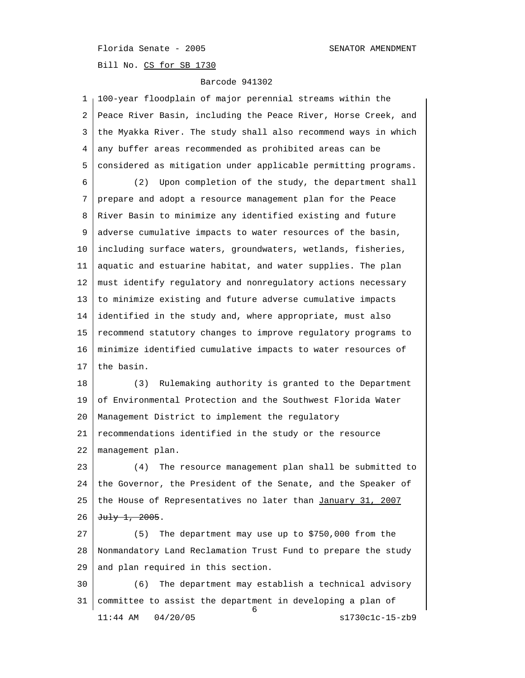Bill No. CS for SB 1730

| 1  | 100-year floodplain of major perennial streams within the       |  |  |  |  |  |  |
|----|-----------------------------------------------------------------|--|--|--|--|--|--|
| 2  | Peace River Basin, including the Peace River, Horse Creek, and  |  |  |  |  |  |  |
| 3  | the Myakka River. The study shall also recommend ways in which  |  |  |  |  |  |  |
| 4  | any buffer areas recommended as prohibited areas can be         |  |  |  |  |  |  |
| 5  | considered as mitigation under applicable permitting programs.  |  |  |  |  |  |  |
| 6  | Upon completion of the study, the department shall<br>(2)       |  |  |  |  |  |  |
| 7  | prepare and adopt a resource management plan for the Peace      |  |  |  |  |  |  |
| 8  | River Basin to minimize any identified existing and future      |  |  |  |  |  |  |
| 9  | adverse cumulative impacts to water resources of the basin,     |  |  |  |  |  |  |
| 10 | including surface waters, groundwaters, wetlands, fisheries,    |  |  |  |  |  |  |
| 11 | aquatic and estuarine habitat, and water supplies. The plan     |  |  |  |  |  |  |
| 12 | must identify regulatory and nonregulatory actions necessary    |  |  |  |  |  |  |
| 13 | to minimize existing and future adverse cumulative impacts      |  |  |  |  |  |  |
| 14 | identified in the study and, where appropriate, must also       |  |  |  |  |  |  |
| 15 | recommend statutory changes to improve regulatory programs to   |  |  |  |  |  |  |
| 16 | minimize identified cumulative impacts to water resources of    |  |  |  |  |  |  |
|    |                                                                 |  |  |  |  |  |  |
| 17 | the basin.                                                      |  |  |  |  |  |  |
| 18 | Rulemaking authority is granted to the Department<br>(3)        |  |  |  |  |  |  |
| 19 | of Environmental Protection and the Southwest Florida Water     |  |  |  |  |  |  |
| 20 | Management District to implement the regulatory                 |  |  |  |  |  |  |
| 21 | recommendations identified in the study or the resource         |  |  |  |  |  |  |
| 22 | management plan.                                                |  |  |  |  |  |  |
| 23 | The resource management plan shall be submitted to<br>(4)       |  |  |  |  |  |  |
| 24 | the Governor, the President of the Senate, and the Speaker of   |  |  |  |  |  |  |
| 25 | the House of Representatives no later than January 31, 2007     |  |  |  |  |  |  |
| 26 | $\frac{1}{2}$ $\frac{1}{2}$ $\frac{2005}{1}$ .                  |  |  |  |  |  |  |
| 27 | The department may use up to \$750,000 from the<br>(5)          |  |  |  |  |  |  |
| 28 | Nonmandatory Land Reclamation Trust Fund to prepare the study   |  |  |  |  |  |  |
| 29 | and plan required in this section.                              |  |  |  |  |  |  |
| 30 | The department may establish a technical advisory<br>(6)        |  |  |  |  |  |  |
| 31 | committee to assist the department in developing a plan of<br>6 |  |  |  |  |  |  |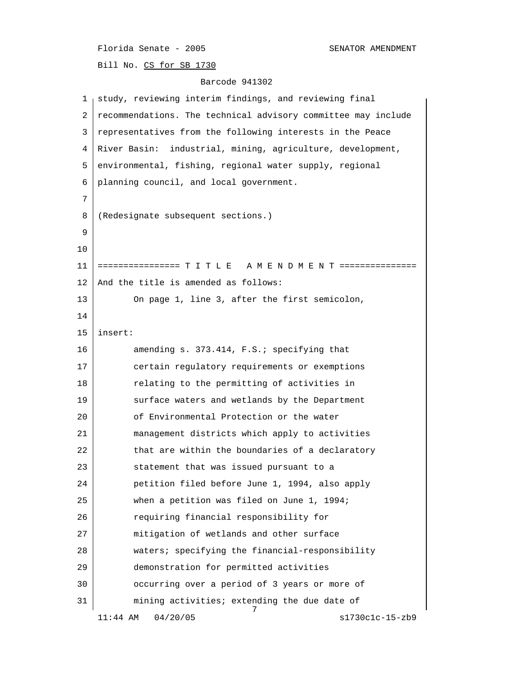Bill No. CS for SB 1730

| 1  | study, reviewing interim findings, and reviewing final        |  |  |  |  |  |  |
|----|---------------------------------------------------------------|--|--|--|--|--|--|
| 2  | recommendations. The technical advisory committee may include |  |  |  |  |  |  |
| 3  | representatives from the following interests in the Peace     |  |  |  |  |  |  |
| 4  | River Basin:<br>industrial, mining, agriculture, development, |  |  |  |  |  |  |
| 5  | environmental, fishing, regional water supply, regional       |  |  |  |  |  |  |
| 6  | planning council, and local government.                       |  |  |  |  |  |  |
| 7  |                                                               |  |  |  |  |  |  |
| 8  | (Redesignate subsequent sections.)                            |  |  |  |  |  |  |
| 9  |                                                               |  |  |  |  |  |  |
| 10 |                                                               |  |  |  |  |  |  |
| 11 |                                                               |  |  |  |  |  |  |
| 12 | And the title is amended as follows:                          |  |  |  |  |  |  |
| 13 | On page 1, line 3, after the first semicolon,                 |  |  |  |  |  |  |
| 14 |                                                               |  |  |  |  |  |  |
| 15 | insert:                                                       |  |  |  |  |  |  |
| 16 | amending s. 373.414, F.S.; specifying that                    |  |  |  |  |  |  |
| 17 | certain regulatory requirements or exemptions                 |  |  |  |  |  |  |
| 18 | relating to the permitting of activities in                   |  |  |  |  |  |  |
| 19 | surface waters and wetlands by the Department                 |  |  |  |  |  |  |
| 20 | of Environmental Protection or the water                      |  |  |  |  |  |  |
| 21 | management districts which apply to activities                |  |  |  |  |  |  |
| 22 | that are within the boundaries of a declaratory               |  |  |  |  |  |  |
| 23 | statement that was issued pursuant to a                       |  |  |  |  |  |  |
| 24 | petition filed before June 1, 1994, also apply                |  |  |  |  |  |  |
| 25 | when a petition was filed on June 1, 1994;                    |  |  |  |  |  |  |
| 26 | requiring financial responsibility for                        |  |  |  |  |  |  |
| 27 | mitigation of wetlands and other surface                      |  |  |  |  |  |  |
| 28 | waters; specifying the financial-responsibility               |  |  |  |  |  |  |
| 29 | demonstration for permitted activities                        |  |  |  |  |  |  |
| 30 | occurring over a period of 3 years or more of                 |  |  |  |  |  |  |
| 31 | mining activities; extending the due date of<br>7             |  |  |  |  |  |  |
|    | $11:44$ AM<br>04/20/05<br>$s1730c1c-15-zb9$                   |  |  |  |  |  |  |